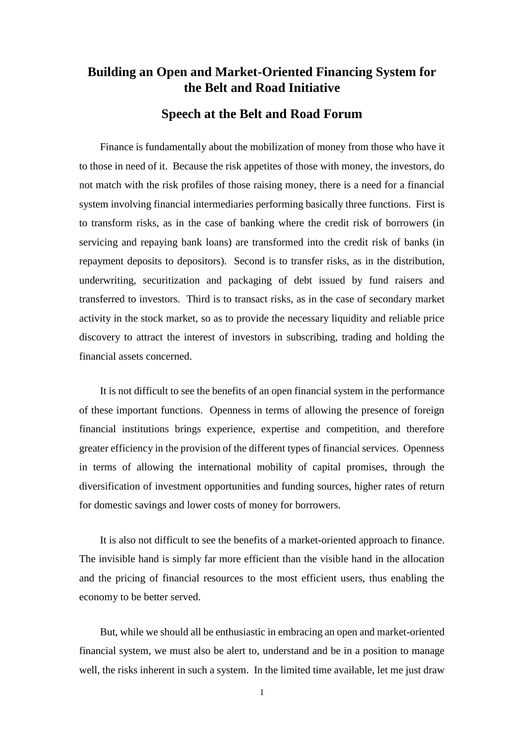## **Building an Open and Market-Oriented Financing System for the Belt and Road Initiative**

## **Speech at the Belt and Road Forum**

Finance is fundamentally about the mobilization of money from those who have it to those in need of it. Because the risk appetites of those with money, the investors, do not match with the risk profiles of those raising money, there is a need for a financial system involving financial intermediaries performing basically three functions. First is to transform risks, as in the case of banking where the credit risk of borrowers (in servicing and repaying bank loans) are transformed into the credit risk of banks (in repayment deposits to depositors). Second is to transfer risks, as in the distribution, underwriting, securitization and packaging of debt issued by fund raisers and transferred to investors. Third is to transact risks, as in the case of secondary market activity in the stock market, so as to provide the necessary liquidity and reliable price discovery to attract the interest of investors in subscribing, trading and holding the financial assets concerned.

It is not difficult to see the benefits of an open financial system in the performance of these important functions. Openness in terms of allowing the presence of foreign financial institutions brings experience, expertise and competition, and therefore greater efficiency in the provision of the different types of financial services. Openness in terms of allowing the international mobility of capital promises, through the diversification of investment opportunities and funding sources, higher rates of return for domestic savings and lower costs of money for borrowers.

It is also not difficult to see the benefits of a market-oriented approach to finance. The invisible hand is simply far more efficient than the visible hand in the allocation and the pricing of financial resources to the most efficient users, thus enabling the economy to be better served.

But, while we should all be enthusiastic in embracing an open and market-oriented financial system, we must also be alert to, understand and be in a position to manage well, the risks inherent in such a system. In the limited time available, let me just draw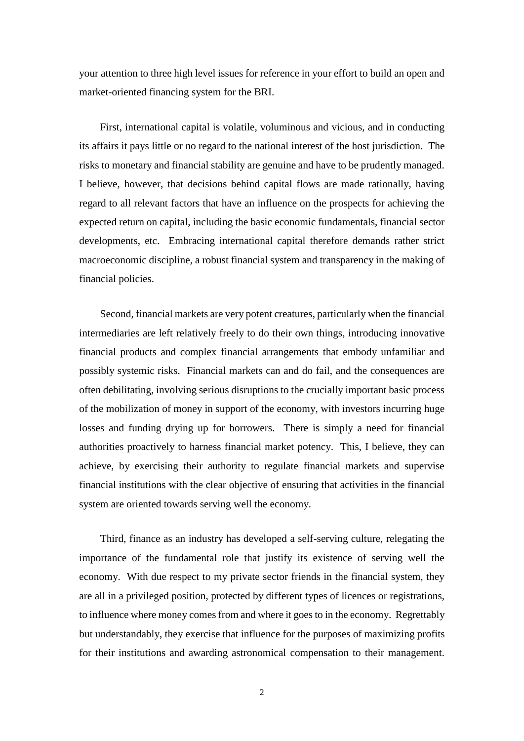your attention to three high level issues for reference in your effort to build an open and market-oriented financing system for the BRI.

First, international capital is volatile, voluminous and vicious, and in conducting its affairs it pays little or no regard to the national interest of the host jurisdiction. The risks to monetary and financial stability are genuine and have to be prudently managed. I believe, however, that decisions behind capital flows are made rationally, having regard to all relevant factors that have an influence on the prospects for achieving the expected return on capital, including the basic economic fundamentals, financial sector developments, etc. Embracing international capital therefore demands rather strict macroeconomic discipline, a robust financial system and transparency in the making of financial policies.

Second, financial markets are very potent creatures, particularly when the financial intermediaries are left relatively freely to do their own things, introducing innovative financial products and complex financial arrangements that embody unfamiliar and possibly systemic risks. Financial markets can and do fail, and the consequences are often debilitating, involving serious disruptions to the crucially important basic process of the mobilization of money in support of the economy, with investors incurring huge losses and funding drying up for borrowers. There is simply a need for financial authorities proactively to harness financial market potency. This, I believe, they can achieve, by exercising their authority to regulate financial markets and supervise financial institutions with the clear objective of ensuring that activities in the financial system are oriented towards serving well the economy.

Third, finance as an industry has developed a self-serving culture, relegating the importance of the fundamental role that justify its existence of serving well the economy. With due respect to my private sector friends in the financial system, they are all in a privileged position, protected by different types of licences or registrations, to influence where money comes from and where it goes to in the economy. Regrettably but understandably, they exercise that influence for the purposes of maximizing profits for their institutions and awarding astronomical compensation to their management.